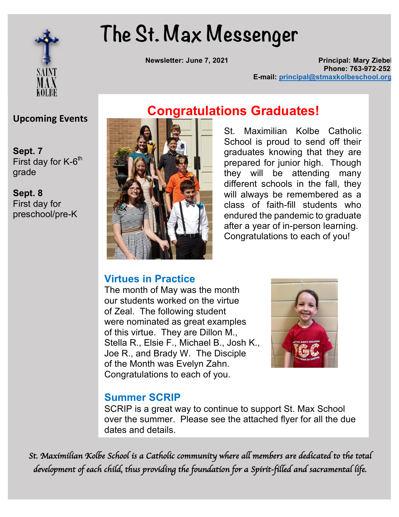

# **The St. Max Messenger**

**Newsletter: June 7, 2021 Principal: Mary Ziebe Phone: 763-972-252 E-mail: principal@stmaxkolbeschool.org**

**Upcoming Events** 

 $\bullet$  **Benediction Turn**<br>First day for K-6<sup>th</sup> grade

**Dairy 1st g**<br> **1st grade** preschool/pre-K First day for

## **Congratulations Graduates!**

St. Maximilian Kolbe Catholic School is proud to send off their graduates knowing that they are prepared for junior high. Though they will be attending many different schools in the fall, they will always be remembered as a class of faith-fill students who endured the pandemic to graduate after a year of in-person learning. Congratulations to each of you!

#### **Virtues in Practice**

The month of May was the month our students worked on the virtue of Zeal. The following student were nominated as great examples of this virtue. They are Dillon M., Stella R., Elsie F., Michael B., Josh K., Joe R., and Brady W. The Disciple of the Month was Evelyn Zahn. Congratulations to each of you.



#### **Summer SCRIP**

SCRIP is a great way to continue to support St. Max School over the summer. Please see the attached flyer for all the due dates and details.

*St. Maximilian Kolbe School is a Catholic community where all members are dedicated to the total development of each child, thus providing the foundation for a Spirit-filled and sacramental life.*